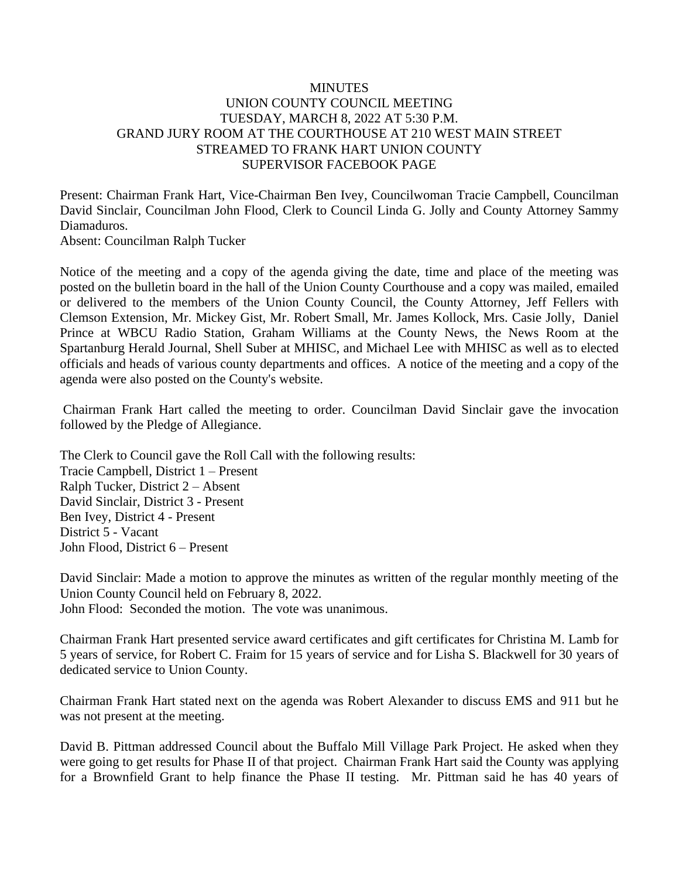## **MINUTES** UNION COUNTY COUNCIL MEETING TUESDAY, MARCH 8, 2022 AT 5:30 P.M. GRAND JURY ROOM AT THE COURTHOUSE AT 210 WEST MAIN STREET STREAMED TO FRANK HART UNION COUNTY SUPERVISOR FACEBOOK PAGE

Present: Chairman Frank Hart, Vice-Chairman Ben Ivey, Councilwoman Tracie Campbell, Councilman David Sinclair, Councilman John Flood, Clerk to Council Linda G. Jolly and County Attorney Sammy Diamaduros.

Absent: Councilman Ralph Tucker

Notice of the meeting and a copy of the agenda giving the date, time and place of the meeting was posted on the bulletin board in the hall of the Union County Courthouse and a copy was mailed, emailed or delivered to the members of the Union County Council, the County Attorney, Jeff Fellers with Clemson Extension, Mr. Mickey Gist, Mr. Robert Small, Mr. James Kollock, Mrs. Casie Jolly, Daniel Prince at WBCU Radio Station, Graham Williams at the County News, the News Room at the Spartanburg Herald Journal, Shell Suber at MHISC, and Michael Lee with MHISC as well as to elected officials and heads of various county departments and offices. A notice of the meeting and a copy of the agenda were also posted on the County's website.

Chairman Frank Hart called the meeting to order. Councilman David Sinclair gave the invocation followed by the Pledge of Allegiance.

The Clerk to Council gave the Roll Call with the following results: Tracie Campbell, District 1 – Present Ralph Tucker, District 2 – Absent David Sinclair, District 3 - Present Ben Ivey, District 4 - Present District 5 - Vacant John Flood, District 6 – Present

David Sinclair: Made a motion to approve the minutes as written of the regular monthly meeting of the Union County Council held on February 8, 2022.

John Flood: Seconded the motion. The vote was unanimous.

Chairman Frank Hart presented service award certificates and gift certificates for Christina M. Lamb for 5 years of service, for Robert C. Fraim for 15 years of service and for Lisha S. Blackwell for 30 years of dedicated service to Union County.

Chairman Frank Hart stated next on the agenda was Robert Alexander to discuss EMS and 911 but he was not present at the meeting.

David B. Pittman addressed Council about the Buffalo Mill Village Park Project. He asked when they were going to get results for Phase II of that project. Chairman Frank Hart said the County was applying for a Brownfield Grant to help finance the Phase II testing. Mr. Pittman said he has 40 years of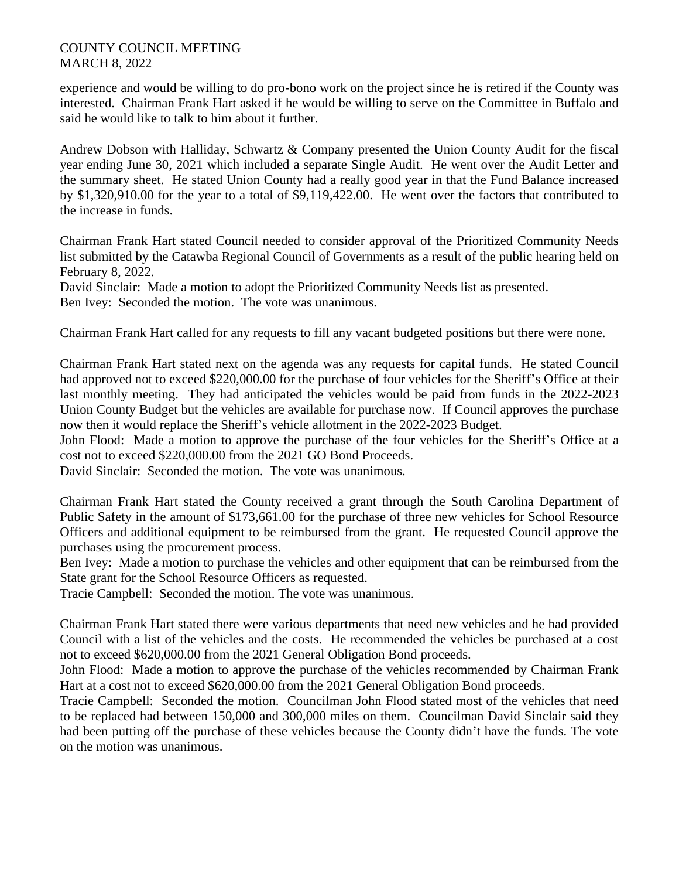## COUNTY COUNCIL MEETING MARCH 8, 2022

experience and would be willing to do pro-bono work on the project since he is retired if the County was interested. Chairman Frank Hart asked if he would be willing to serve on the Committee in Buffalo and said he would like to talk to him about it further.

Andrew Dobson with Halliday, Schwartz & Company presented the Union County Audit for the fiscal year ending June 30, 2021 which included a separate Single Audit. He went over the Audit Letter and the summary sheet. He stated Union County had a really good year in that the Fund Balance increased by \$1,320,910.00 for the year to a total of \$9,119,422.00. He went over the factors that contributed to the increase in funds.

Chairman Frank Hart stated Council needed to consider approval of the Prioritized Community Needs list submitted by the Catawba Regional Council of Governments as a result of the public hearing held on February 8, 2022.

David Sinclair: Made a motion to adopt the Prioritized Community Needs list as presented. Ben Ivey: Seconded the motion. The vote was unanimous.

Chairman Frank Hart called for any requests to fill any vacant budgeted positions but there were none.

Chairman Frank Hart stated next on the agenda was any requests for capital funds. He stated Council had approved not to exceed \$220,000.00 for the purchase of four vehicles for the Sheriff's Office at their last monthly meeting. They had anticipated the vehicles would be paid from funds in the 2022-2023 Union County Budget but the vehicles are available for purchase now. If Council approves the purchase now then it would replace the Sheriff's vehicle allotment in the 2022-2023 Budget.

John Flood: Made a motion to approve the purchase of the four vehicles for the Sheriff's Office at a cost not to exceed \$220,000.00 from the 2021 GO Bond Proceeds.

David Sinclair: Seconded the motion. The vote was unanimous.

Chairman Frank Hart stated the County received a grant through the South Carolina Department of Public Safety in the amount of \$173,661.00 for the purchase of three new vehicles for School Resource Officers and additional equipment to be reimbursed from the grant. He requested Council approve the purchases using the procurement process.

Ben Ivey: Made a motion to purchase the vehicles and other equipment that can be reimbursed from the State grant for the School Resource Officers as requested.

Tracie Campbell: Seconded the motion. The vote was unanimous.

Chairman Frank Hart stated there were various departments that need new vehicles and he had provided Council with a list of the vehicles and the costs. He recommended the vehicles be purchased at a cost not to exceed \$620,000.00 from the 2021 General Obligation Bond proceeds.

John Flood: Made a motion to approve the purchase of the vehicles recommended by Chairman Frank Hart at a cost not to exceed \$620,000.00 from the 2021 General Obligation Bond proceeds.

Tracie Campbell: Seconded the motion. Councilman John Flood stated most of the vehicles that need to be replaced had between 150,000 and 300,000 miles on them. Councilman David Sinclair said they had been putting off the purchase of these vehicles because the County didn't have the funds. The vote on the motion was unanimous.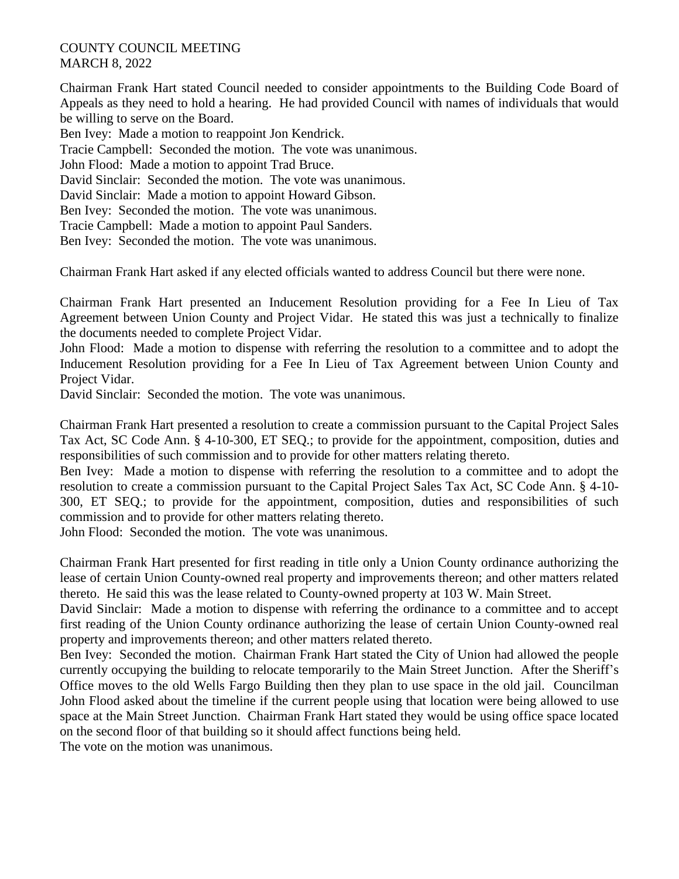## COUNTY COUNCIL MEETING MARCH 8, 2022

Chairman Frank Hart stated Council needed to consider appointments to the Building Code Board of Appeals as they need to hold a hearing. He had provided Council with names of individuals that would be willing to serve on the Board.

Ben Ivey: Made a motion to reappoint Jon Kendrick.

Tracie Campbell: Seconded the motion. The vote was unanimous.

John Flood: Made a motion to appoint Trad Bruce.

David Sinclair: Seconded the motion. The vote was unanimous.

David Sinclair: Made a motion to appoint Howard Gibson.

Ben Ivey: Seconded the motion. The vote was unanimous.

Tracie Campbell: Made a motion to appoint Paul Sanders.

Ben Ivey: Seconded the motion. The vote was unanimous.

Chairman Frank Hart asked if any elected officials wanted to address Council but there were none.

Chairman Frank Hart presented an Inducement Resolution providing for a Fee In Lieu of Tax Agreement between Union County and Project Vidar. He stated this was just a technically to finalize the documents needed to complete Project Vidar.

John Flood: Made a motion to dispense with referring the resolution to a committee and to adopt the Inducement Resolution providing for a Fee In Lieu of Tax Agreement between Union County and Project Vidar.

David Sinclair: Seconded the motion. The vote was unanimous.

Chairman Frank Hart presented a resolution to create a commission pursuant to the Capital Project Sales Tax Act, SC Code Ann. § 4-10-300, ET SEQ.; to provide for the appointment, composition, duties and responsibilities of such commission and to provide for other matters relating thereto.

Ben Ivey: Made a motion to dispense with referring the resolution to a committee and to adopt the resolution to create a commission pursuant to the Capital Project Sales Tax Act, SC Code Ann. § 4-10- 300, ET SEQ.; to provide for the appointment, composition, duties and responsibilities of such commission and to provide for other matters relating thereto.

John Flood: Seconded the motion. The vote was unanimous.

Chairman Frank Hart presented for first reading in title only a Union County ordinance authorizing the lease of certain Union County-owned real property and improvements thereon; and other matters related thereto. He said this was the lease related to County-owned property at 103 W. Main Street.

David Sinclair: Made a motion to dispense with referring the ordinance to a committee and to accept first reading of the Union County ordinance authorizing the lease of certain Union County-owned real property and improvements thereon; and other matters related thereto.

Ben Ivey: Seconded the motion. Chairman Frank Hart stated the City of Union had allowed the people currently occupying the building to relocate temporarily to the Main Street Junction. After the Sheriff's Office moves to the old Wells Fargo Building then they plan to use space in the old jail. Councilman John Flood asked about the timeline if the current people using that location were being allowed to use space at the Main Street Junction. Chairman Frank Hart stated they would be using office space located on the second floor of that building so it should affect functions being held.

The vote on the motion was unanimous.